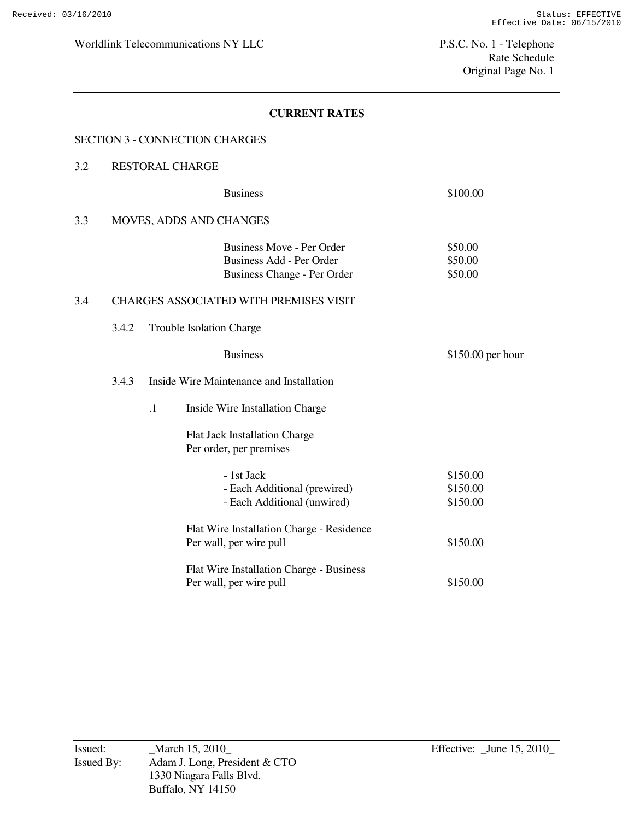#### SECTION 3 - CONNECTION CHARGES

#### 3.2 RESTORAL CHARGE

|     |       |                          | <b>Business</b>                                                                             | \$100.00                      |
|-----|-------|--------------------------|---------------------------------------------------------------------------------------------|-------------------------------|
| 3.3 |       |                          | MOVES, ADDS AND CHANGES                                                                     |                               |
|     |       |                          | <b>Business Move - Per Order</b><br>Business Add - Per Order<br>Business Change - Per Order | \$50.00<br>\$50.00<br>\$50.00 |
| 3.4 |       |                          | <b>CHARGES ASSOCIATED WITH PREMISES VISIT</b>                                               |                               |
|     | 3.4.2 | Trouble Isolation Charge |                                                                                             |                               |
|     |       |                          | <b>Business</b>                                                                             | $$150.00$ per hour            |
|     | 3.4.3 |                          | Inside Wire Maintenance and Installation                                                    |                               |
|     |       | $\cdot$ 1                | Inside Wire Installation Charge                                                             |                               |
|     |       |                          | <b>Flat Jack Installation Charge</b><br>Per order, per premises                             |                               |
|     |       |                          | - 1st Jack                                                                                  | \$150.00                      |
|     |       |                          | - Each Additional (prewired)<br>- Each Additional (unwired)                                 | \$150.00<br>\$150.00          |
|     |       |                          | Flat Wire Installation Charge - Residence                                                   |                               |
|     |       |                          | Per wall, per wire pull                                                                     | \$150.00                      |
|     |       |                          | Flat Wire Installation Charge - Business<br>Per wall, per wire pull                         | \$150.00                      |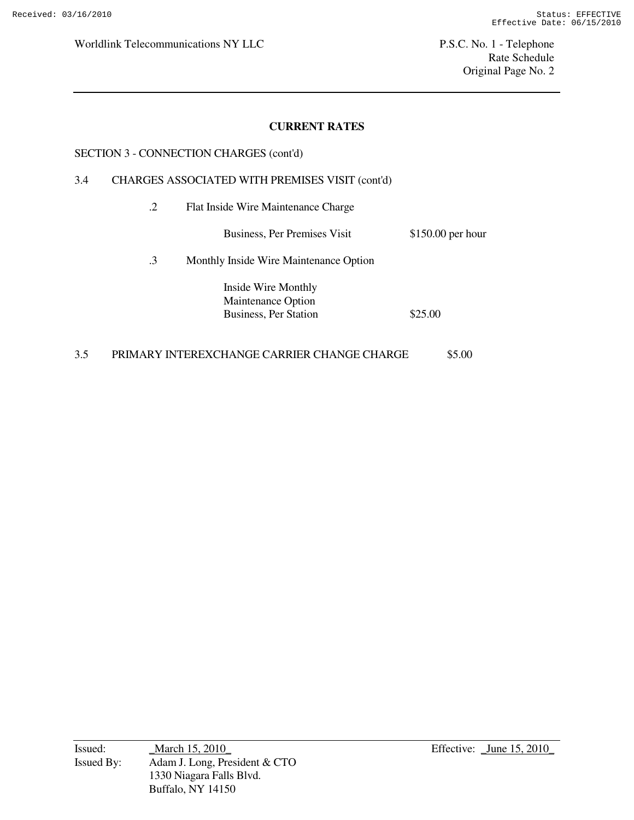## **CURRENT RATES**

#### SECTION 3 - CONNECTION CHARGES (cont'd)

#### 3.4 CHARGES ASSOCIATED WITH PREMISES VISIT (cont'd)

.2 Flat Inside Wire Maintenance Charge

| Business, Per Premises Visit | $$150.00$ per hour |
|------------------------------|--------------------|
|------------------------------|--------------------|

.3 Monthly Inside Wire Maintenance Option

 Inside Wire Monthly Maintenance Option Business, Per Station  $$25.00$ 

### 3.5 PRIMARY INTEREXCHANGE CARRIER CHANGE CHARGE \$5.00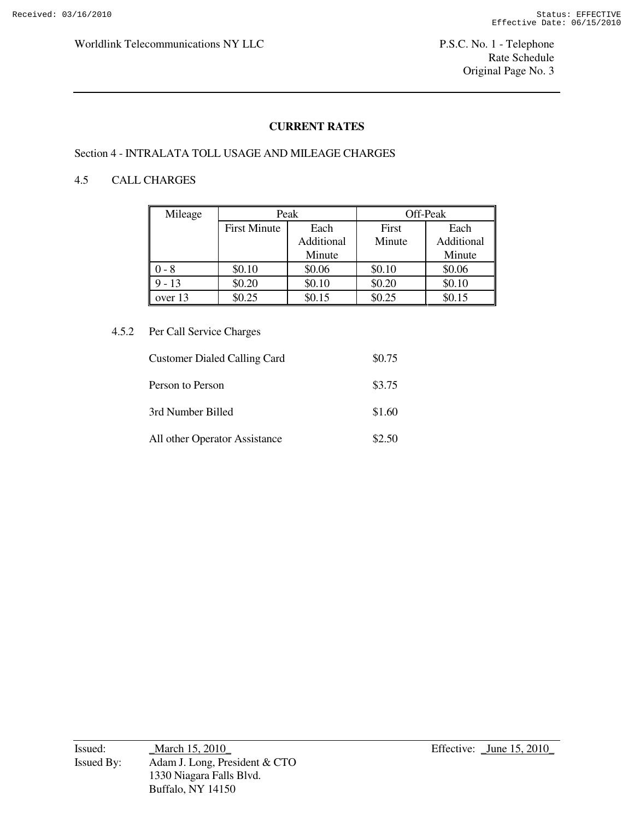### **CURRENT RATES**

#### Section 4 - INTRALATA TOLL USAGE AND MILEAGE CHARGES

## 4.5 CALL CHARGES

| Mileage  | Peak                |            | Off-Peak |            |
|----------|---------------------|------------|----------|------------|
|          | <b>First Minute</b> | Each       | First    | Each       |
|          |                     | Additional | Minute   | Additional |
|          |                     | Minute     |          | Minute     |
| $-8$     | \$0.10              | \$0.06     | \$0.10   | \$0.06     |
| $9 - 13$ | \$0.20              | \$0.10     | \$0.20   | \$0.10     |
| over 13  | \$0.25              | \$0.15     | \$0.25   | \$0.15     |

#### 4.5.2 Per Call Service Charges

| <b>Customer Dialed Calling Card</b> | \$0.75 |
|-------------------------------------|--------|
| Person to Person                    | \$3.75 |
| 3rd Number Billed                   | \$1.60 |
| All other Operator Assistance       | \$2.50 |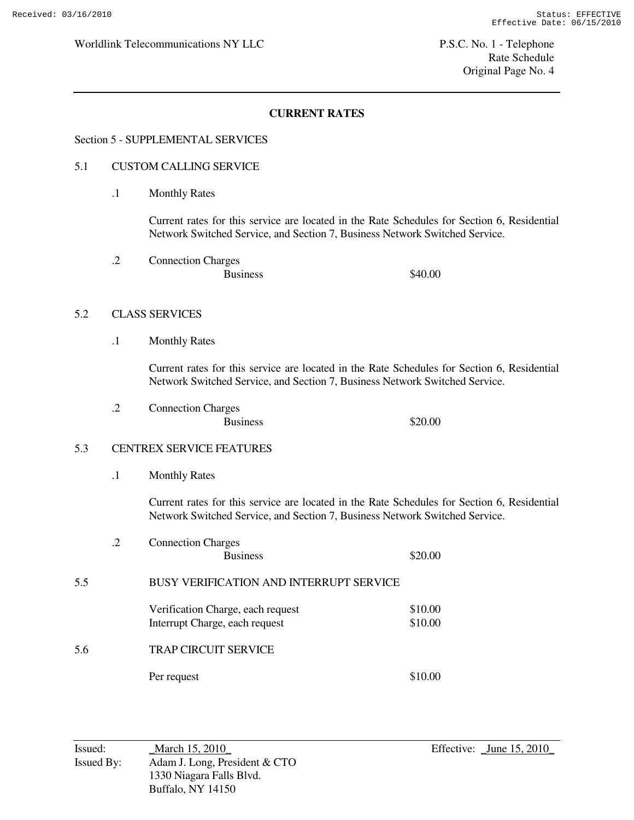# **CURRENT RATES**

## Section 5 - SUPPLEMENTAL SERVICES

#### 5.1 CUSTOM CALLING SERVICE

.1 Monthly Rates

 Current rates for this service are located in the Rate Schedules for Section 6, Residential Network Switched Service, and Section 7, Business Network Switched Service.

 .2 Connection Charges Business \$40.00

#### 5.2 CLASS SERVICES

.1 Monthly Rates

 Current rates for this service are located in the Rate Schedules for Section 6, Residential Network Switched Service, and Section 7, Business Network Switched Service.

 .2 Connection Charges Business  $$20.00$ 

#### 5.3 CENTREX SERVICE FEATURES

.1 Monthly Rates

 Current rates for this service are located in the Rate Schedules for Section 6, Residential Network Switched Service, and Section 7, Business Network Switched Service.

|     | .2 | <b>Connection Charges</b><br><b>Business</b>                        | \$20.00            |
|-----|----|---------------------------------------------------------------------|--------------------|
| 5.5 |    | BUSY VERIFICATION AND INTERRUPT SERVICE                             |                    |
|     |    | Verification Charge, each request<br>Interrupt Charge, each request | \$10.00<br>\$10.00 |
| 5.6 |    | <b>TRAP CIRCUIT SERVICE</b>                                         |                    |
|     |    | Per request                                                         | \$10.00            |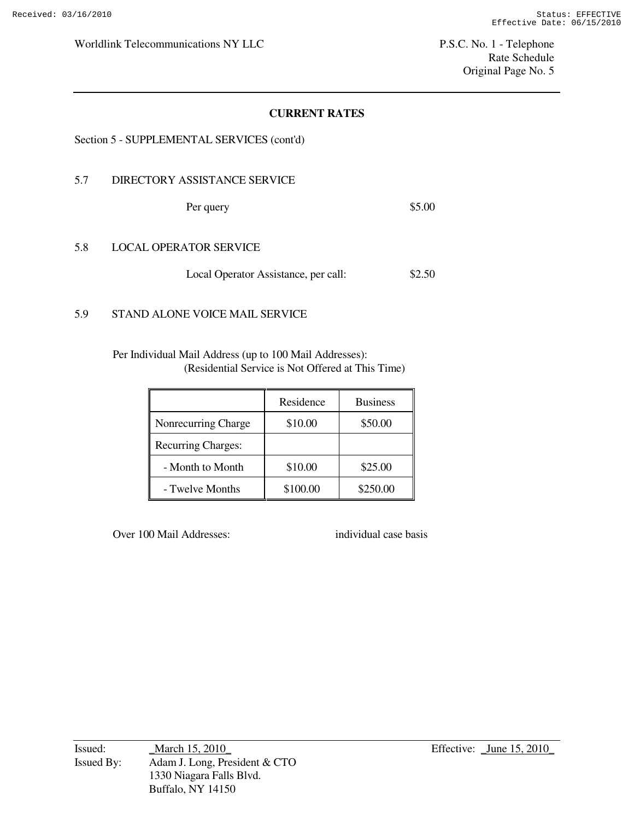Rate Schedule Original Page No. 5

## **CURRENT RATES**

#### Section 5 - SUPPLEMENTAL SERVICES (cont'd)

## 5.7 DIRECTORY ASSISTANCE SERVICE

Per query \$5.00

#### 5.8 LOCAL OPERATOR SERVICE

Local Operator Assistance, per call: \$2.50

# 5.9 STAND ALONE VOICE MAIL SERVICE

 Per Individual Mail Address (up to 100 Mail Addresses): (Residential Service is Not Offered at This Time)

|                           | Residence | <b>Business</b> |
|---------------------------|-----------|-----------------|
| Nonrecurring Charge       | \$10.00   | \$50.00         |
| <b>Recurring Charges:</b> |           |                 |
| - Month to Month          | \$10.00   | \$25.00         |
| - Twelve Months           | \$100.00  | \$250.00        |

Over 100 Mail Addresses: individual case basis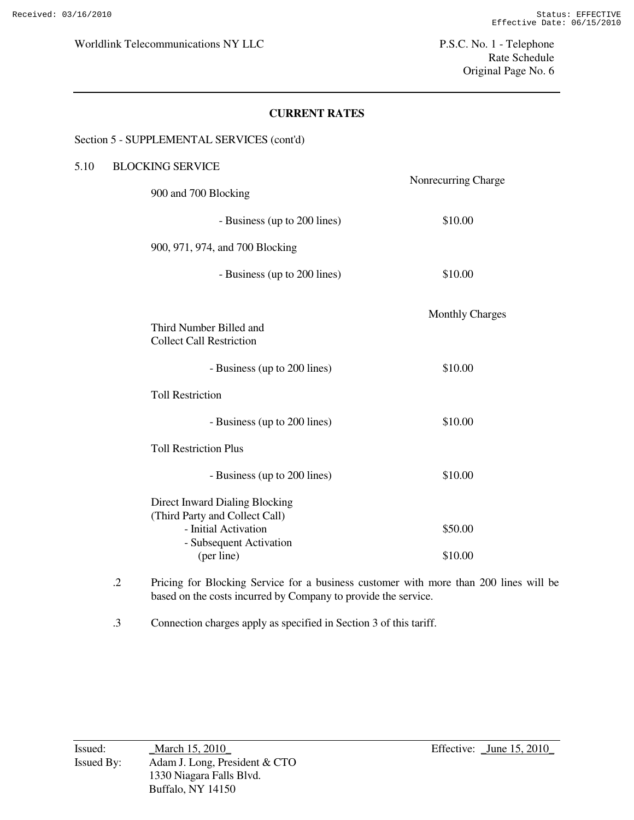Rate Schedule Original Page No. 6

## **CURRENT RATES**

#### Section 5 - SUPPLEMENTAL SERVICES (cont'd)

| 5.10 | <b>BLOCKING SERVICE</b>                                                                                                           |                        |
|------|-----------------------------------------------------------------------------------------------------------------------------------|------------------------|
|      | 900 and 700 Blocking                                                                                                              | Nonrecurring Charge    |
|      | - Business (up to 200 lines)                                                                                                      | \$10.00                |
|      | 900, 971, 974, and 700 Blocking                                                                                                   |                        |
|      | - Business (up to 200 lines)                                                                                                      | \$10.00                |
|      | Third Number Billed and<br><b>Collect Call Restriction</b>                                                                        | <b>Monthly Charges</b> |
|      | - Business (up to 200 lines)                                                                                                      | \$10.00                |
|      | <b>Toll Restriction</b>                                                                                                           |                        |
|      | - Business (up to 200 lines)                                                                                                      | \$10.00                |
|      | <b>Toll Restriction Plus</b>                                                                                                      |                        |
|      | - Business (up to 200 lines)                                                                                                      | \$10.00                |
|      | Direct Inward Dialing Blocking<br>(Third Party and Collect Call)<br>- Initial Activation<br>- Subsequent Activation<br>(per line) | \$50.00<br>\$10.00     |

- .2 Pricing for Blocking Service for a business customer with more than 200 lines will be based on the costs incurred by Company to provide the service.
- .3 Connection charges apply as specified in Section 3 of this tariff.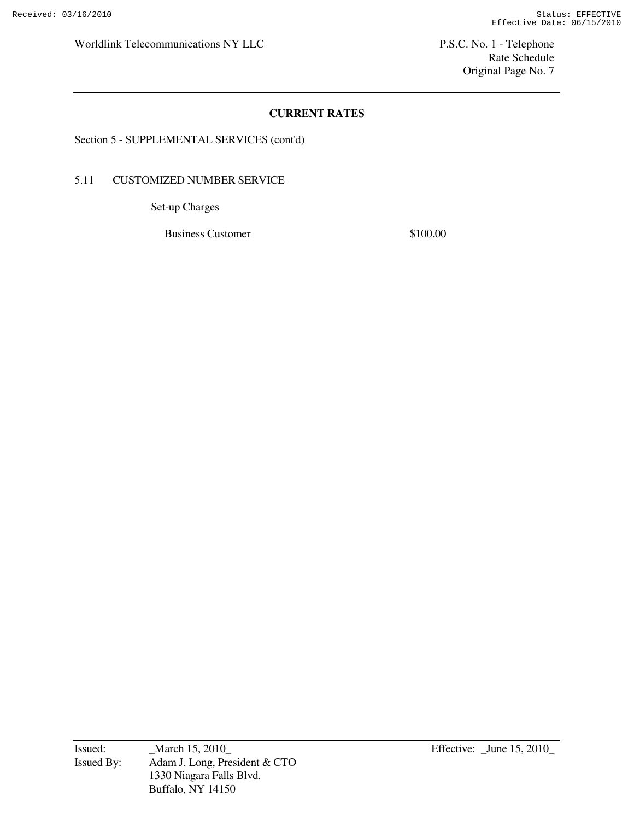Rate Schedule Original Page No. 7

# **CURRENT RATES**

Section 5 - SUPPLEMENTAL SERVICES (cont'd)

## 5.11 CUSTOMIZED NUMBER SERVICE

Set-up Charges

Business Customer \$100.00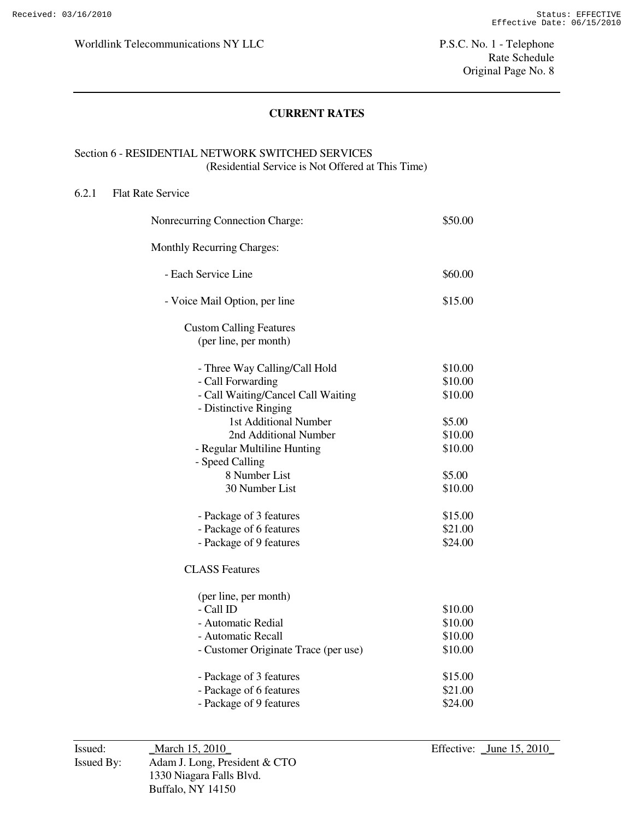# **CURRENT RATES**

# Section 6 - RESIDENTIAL NETWORK SWITCHED SERVICES (Residential Service is Not Offered at This Time)

#### 6.2.1 Flat Rate Service

| Nonrecurring Connection Charge:      | \$50.00 |
|--------------------------------------|---------|
| <b>Monthly Recurring Charges:</b>    |         |
| - Each Service Line                  | \$60.00 |
| - Voice Mail Option, per line        | \$15.00 |
| <b>Custom Calling Features</b>       |         |
| (per line, per month)                |         |
| - Three Way Calling/Call Hold        | \$10.00 |
| - Call Forwarding                    | \$10.00 |
| - Call Waiting/Cancel Call Waiting   | \$10.00 |
| - Distinctive Ringing                |         |
| 1st Additional Number                | \$5.00  |
| 2nd Additional Number                | \$10.00 |
| - Regular Multiline Hunting          | \$10.00 |
| - Speed Calling                      |         |
| 8 Number List                        | \$5.00  |
| 30 Number List                       | \$10.00 |
| - Package of 3 features              | \$15.00 |
| - Package of 6 features              | \$21.00 |
| - Package of 9 features              | \$24.00 |
| <b>CLASS Features</b>                |         |
| (per line, per month)                |         |
| - Call ID                            | \$10.00 |
| - Automatic Redial                   | \$10.00 |
| - Automatic Recall                   | \$10.00 |
| - Customer Originate Trace (per use) | \$10.00 |
| - Package of 3 features              | \$15.00 |
| - Package of 6 features              | \$21.00 |
| - Package of 9 features              | \$24.00 |
|                                      |         |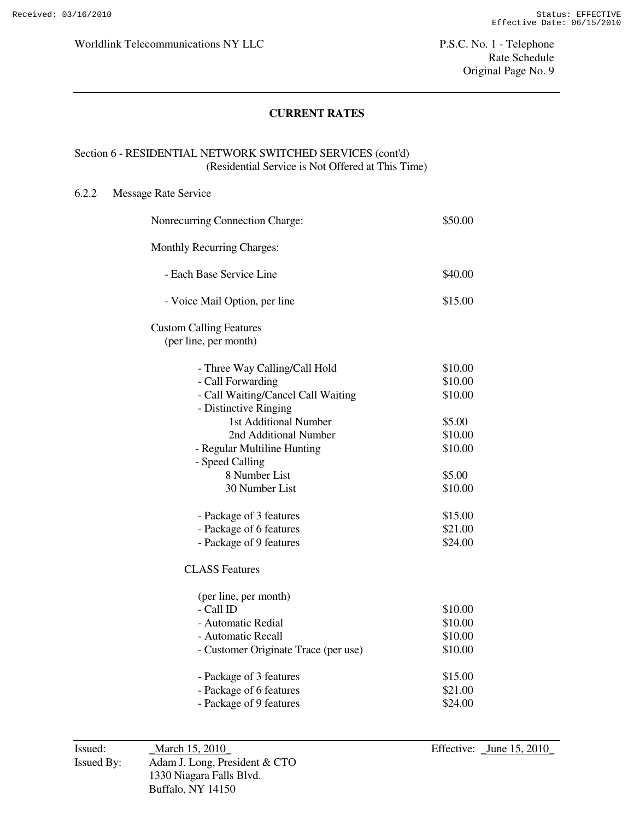# **CURRENT RATES**

# Section 6 - RESIDENTIAL NETWORK SWITCHED SERVICES (cont'd) (Residential Service is Not Offered at This Time)

#### 6.2.2 Message Rate Service

| Nonrecurring Connection Charge:                         | \$50.00            |
|---------------------------------------------------------|--------------------|
| <b>Monthly Recurring Charges:</b>                       |                    |
| - Each Base Service Line                                | \$40.00            |
| - Voice Mail Option, per line                           | \$15.00            |
| <b>Custom Calling Features</b><br>(per line, per month) |                    |
| - Three Way Calling/Call Hold                           | \$10.00            |
| - Call Forwarding                                       | \$10.00            |
| - Call Waiting/Cancel Call Waiting                      | \$10.00            |
| - Distinctive Ringing                                   |                    |
| 1st Additional Number                                   | \$5.00             |
| 2nd Additional Number                                   | \$10.00<br>\$10.00 |
| - Regular Multiline Hunting<br>- Speed Calling          |                    |
| 8 Number List                                           | \$5.00             |
| 30 Number List                                          | \$10.00            |
|                                                         |                    |
| - Package of 3 features                                 | \$15.00            |
| - Package of 6 features                                 | \$21.00            |
| - Package of 9 features                                 | \$24.00            |
| <b>CLASS Features</b>                                   |                    |
| (per line, per month)                                   |                    |
| - Call ID                                               | \$10.00            |
| - Automatic Redial                                      | \$10.00            |
| - Automatic Recall                                      | \$10.00            |
| - Customer Originate Trace (per use)                    | \$10.00            |
| - Package of 3 features                                 | \$15.00            |
| - Package of 6 features                                 | \$21.00            |
| - Package of 9 features                                 | \$24.00            |
|                                                         |                    |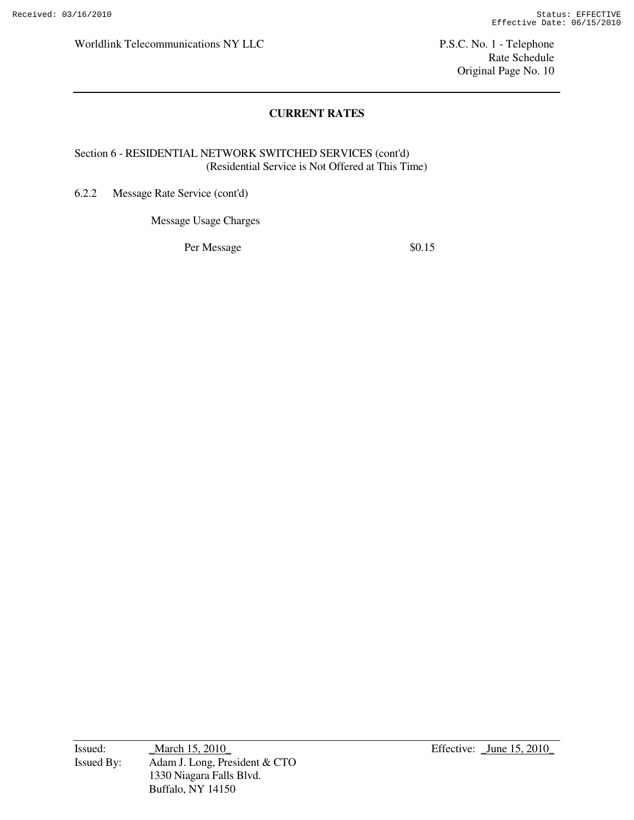Rate Schedule Original Page No. 10

# **CURRENT RATES**

# Section 6 - RESIDENTIAL NETWORK SWITCHED SERVICES (cont'd) (Residential Service is Not Offered at This Time)

6.2.2 Message Rate Service (cont'd)

Message Usage Charges

Per Message  $\$0.15$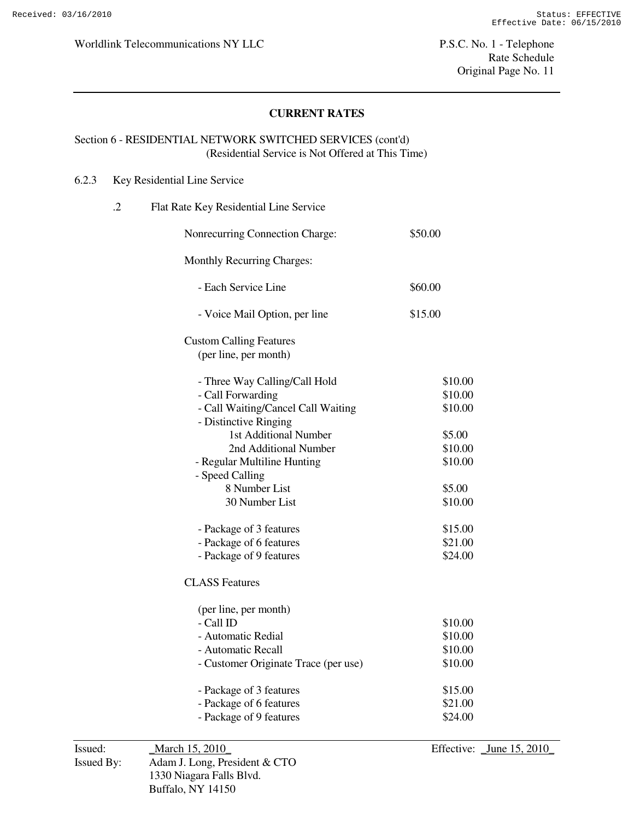## **CURRENT RATES**

## Section 6 - RESIDENTIAL NETWORK SWITCHED SERVICES (cont'd) (Residential Service is Not Offered at This Time)

### 6.2.3 Key Residential Line Service

| $\cdot$ | Flat Rate Key Residential Line Service                  |         |
|---------|---------------------------------------------------------|---------|
|         | Nonrecurring Connection Charge:                         | \$50.00 |
|         | <b>Monthly Recurring Charges:</b>                       |         |
|         | - Each Service Line                                     | \$60.00 |
|         | - Voice Mail Option, per line                           | \$15.00 |
|         | <b>Custom Calling Features</b><br>(per line, per month) |         |
|         | - Three Way Calling/Call Hold                           | \$10.00 |
|         | - Call Forwarding                                       | \$10.00 |
|         | - Call Waiting/Cancel Call Waiting                      | \$10.00 |
|         | - Distinctive Ringing                                   |         |
|         | 1st Additional Number                                   | \$5.00  |
|         | 2nd Additional Number                                   | \$10.00 |
|         | - Regular Multiline Hunting                             | \$10.00 |
|         | - Speed Calling                                         |         |
|         | 8 Number List                                           | \$5.00  |
|         | 30 Number List                                          | \$10.00 |
|         | - Package of 3 features                                 | \$15.00 |
|         | - Package of 6 features                                 | \$21.00 |
|         | - Package of 9 features                                 | \$24.00 |
|         | <b>CLASS Features</b>                                   |         |
|         | (per line, per month)                                   |         |
|         | - Call ID                                               | \$10.00 |
|         | - Automatic Redial                                      | \$10.00 |
|         | - Automatic Recall                                      | \$10.00 |
|         | - Customer Originate Trace (per use)                    | \$10.00 |
|         | - Package of 3 features                                 | \$15.00 |
|         | - Package of 6 features                                 | \$21.00 |
|         | - Package of 9 features                                 | \$24.00 |
|         |                                                         |         |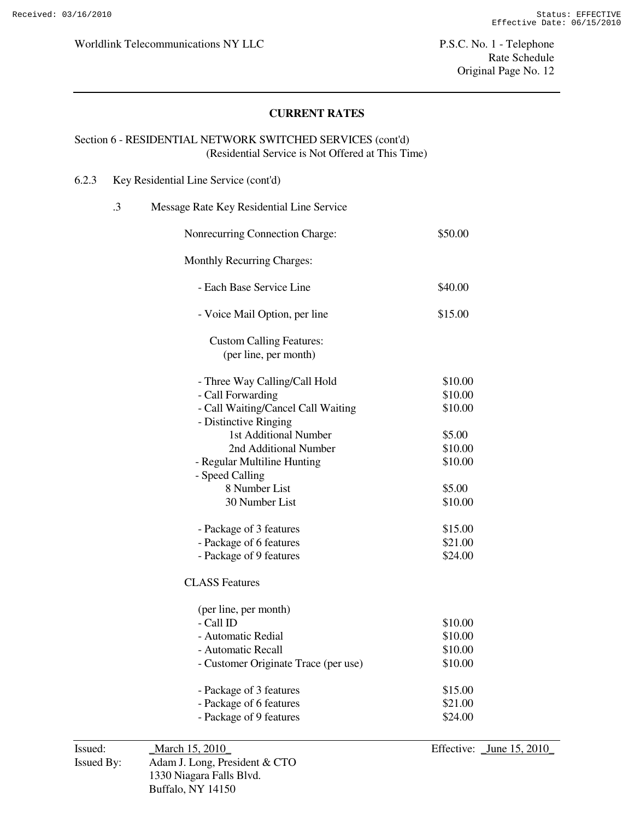## **CURRENT RATES**

## Section 6 - RESIDENTIAL NETWORK SWITCHED SERVICES (cont'd) (Residential Service is Not Offered at This Time)

#### 6.2.3 Key Residential Line Service (cont'd)

| .3 | Message Rate Key Residential Line Service                |         |
|----|----------------------------------------------------------|---------|
|    | Nonrecurring Connection Charge:                          | \$50.00 |
|    | <b>Monthly Recurring Charges:</b>                        |         |
|    | - Each Base Service Line                                 | \$40.00 |
|    | - Voice Mail Option, per line                            | \$15.00 |
|    | <b>Custom Calling Features:</b><br>(per line, per month) |         |
|    | - Three Way Calling/Call Hold                            | \$10.00 |
|    | - Call Forwarding                                        | \$10.00 |
|    | - Call Waiting/Cancel Call Waiting                       | \$10.00 |
|    | - Distinctive Ringing                                    |         |
|    | 1st Additional Number                                    | \$5.00  |
|    | 2nd Additional Number                                    | \$10.00 |
|    | - Regular Multiline Hunting                              | \$10.00 |
|    | - Speed Calling                                          |         |
|    | 8 Number List                                            | \$5.00  |
|    | 30 Number List                                           | \$10.00 |
|    | - Package of 3 features                                  | \$15.00 |
|    | - Package of 6 features                                  | \$21.00 |
|    | - Package of 9 features                                  | \$24.00 |
|    | <b>CLASS Features</b>                                    |         |
|    | (per line, per month)                                    |         |
|    | - Call ID                                                | \$10.00 |
|    | - Automatic Redial                                       | \$10.00 |
|    | - Automatic Recall                                       | \$10.00 |
|    | - Customer Originate Trace (per use)                     | \$10.00 |
|    |                                                          |         |

- Package of 3 features \$15.00 - Package of 6 features \$21.00 - Package of 9 features \$24.00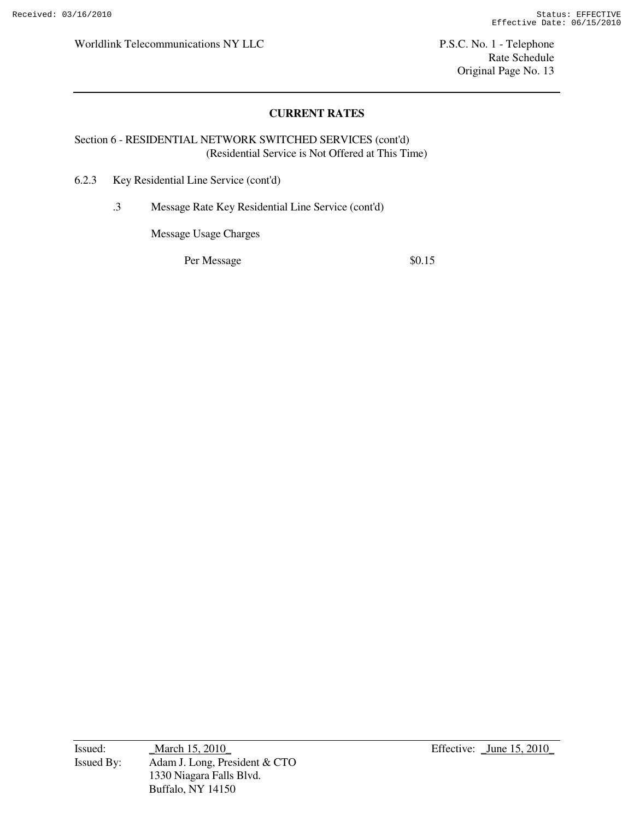Rate Schedule Original Page No. 13

# **CURRENT RATES**

## Section 6 - RESIDENTIAL NETWORK SWITCHED SERVICES (cont'd) (Residential Service is Not Offered at This Time)

6.2.3 Key Residential Line Service (cont'd)

.3 Message Rate Key Residential Line Service (cont'd)

Message Usage Charges

Per Message  $\$0.15$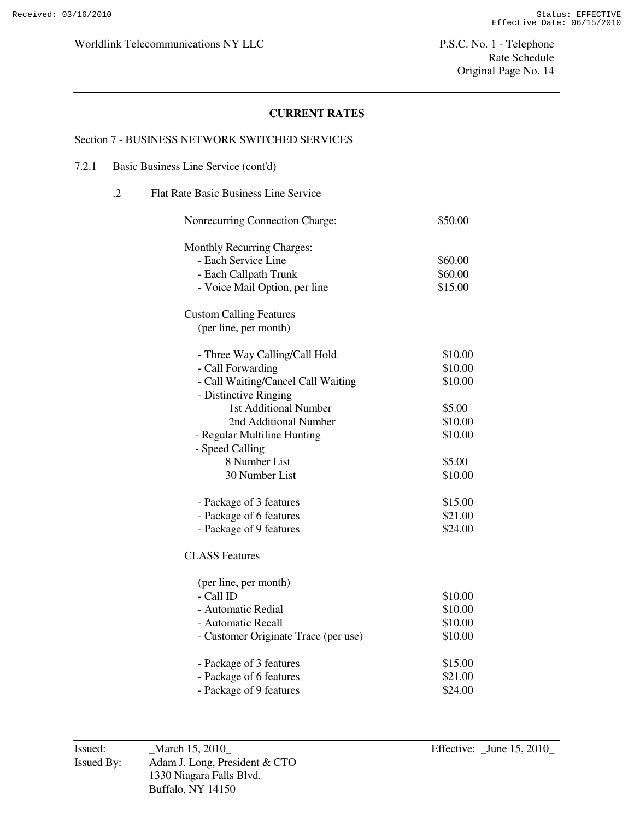# **CURRENT RATES**

#### Section 7 - BUSINESS NETWORK SWITCHED SERVICES

#### 7.2.1 Basic Business Line Service (cont'd)

| $\cdot$ .2 | <b>Flat Rate Basic Business Line Service</b> |         |
|------------|----------------------------------------------|---------|
|            | Nonrecurring Connection Charge:              | \$50.00 |
|            | <b>Monthly Recurring Charges:</b>            |         |
|            | - Each Service Line                          | \$60.00 |
|            | - Each Callpath Trunk                        | \$60.00 |
|            | - Voice Mail Option, per line                | \$15.00 |
|            | <b>Custom Calling Features</b>               |         |
|            | (per line, per month)                        |         |
|            | - Three Way Calling/Call Hold                | \$10.00 |
|            | - Call Forwarding                            | \$10.00 |
|            | - Call Waiting/Cancel Call Waiting           | \$10.00 |
|            | - Distinctive Ringing                        |         |
|            | 1st Additional Number                        | \$5.00  |
|            | 2nd Additional Number                        | \$10.00 |
|            | - Regular Multiline Hunting                  | \$10.00 |
|            | - Speed Calling                              |         |
|            | 8 Number List                                | \$5.00  |
|            | 30 Number List                               | \$10.00 |
|            | - Package of 3 features                      | \$15.00 |
|            | - Package of 6 features                      | \$21.00 |
|            | - Package of 9 features                      | \$24.00 |
|            | <b>CLASS Features</b>                        |         |
|            | (per line, per month)                        |         |
|            | - Call ID                                    | \$10.00 |
|            | - Automatic Redial                           | \$10.00 |
|            | - Automatic Recall                           | \$10.00 |
|            | - Customer Originate Trace (per use)         | \$10.00 |
|            | - Package of 3 features                      | \$15.00 |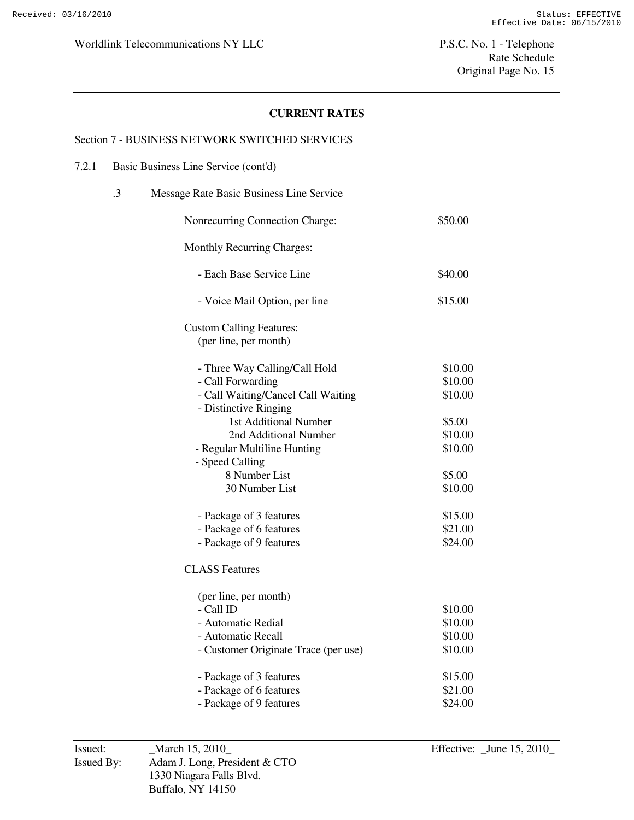# **CURRENT RATES**

#### Section 7 - BUSINESS NETWORK SWITCHED SERVICES

#### 7.2.1 Basic Business Line Service (cont'd)

| $\cdot$ 3 | Message Rate Basic Business Line Service                                                                               |                                          |
|-----------|------------------------------------------------------------------------------------------------------------------------|------------------------------------------|
|           | Nonrecurring Connection Charge:                                                                                        | \$50.00                                  |
|           | <b>Monthly Recurring Charges:</b>                                                                                      |                                          |
|           | - Each Base Service Line                                                                                               | \$40.00                                  |
|           | - Voice Mail Option, per line                                                                                          | \$15.00                                  |
|           | <b>Custom Calling Features:</b><br>(per line, per month)                                                               |                                          |
|           | - Three Way Calling/Call Hold<br>- Call Forwarding<br>- Call Waiting/Cancel Call Waiting                               | \$10.00<br>\$10.00<br>\$10.00            |
|           | - Distinctive Ringing<br>1st Additional Number<br>2nd Additional Number<br>- Regular Multiline Hunting                 | \$5.00<br>\$10.00<br>\$10.00             |
|           | - Speed Calling<br>8 Number List<br>30 Number List                                                                     | \$5.00<br>\$10.00                        |
|           | - Package of 3 features<br>- Package of 6 features<br>- Package of 9 features                                          | \$15.00<br>\$21.00<br>\$24.00            |
|           | <b>CLASS Features</b>                                                                                                  |                                          |
|           | (per line, per month)<br>- Call ID<br>- Automatic Redial<br>- Automatic Recall<br>- Customer Originate Trace (per use) | \$10.00<br>\$10.00<br>\$10.00<br>\$10.00 |
|           | - Package of 3 features<br>- Package of 6 features<br>- Package of 9 features                                          | \$15.00<br>\$21.00<br>\$24.00            |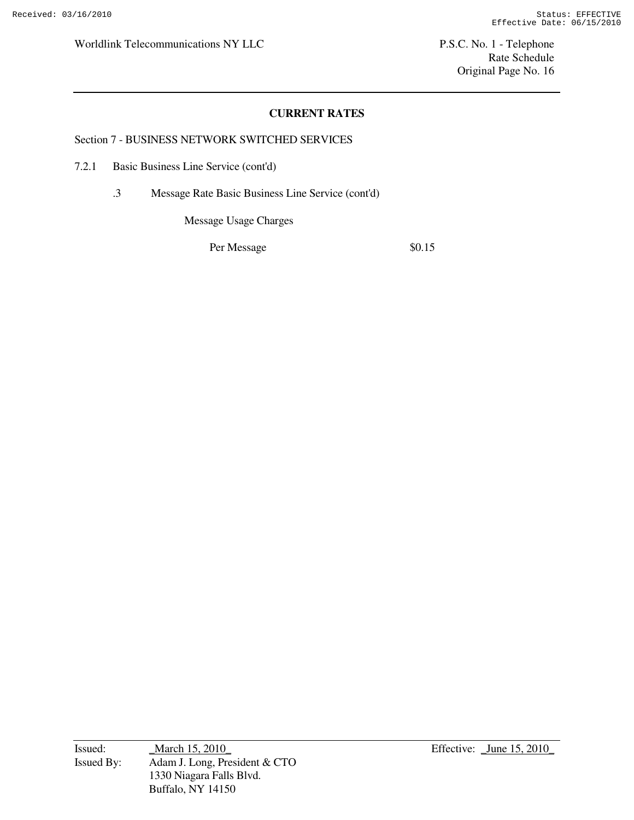Rate Schedule Original Page No. 16

## **CURRENT RATES**

Section 7 - BUSINESS NETWORK SWITCHED SERVICES

7.2.1 Basic Business Line Service (cont'd)

.3 Message Rate Basic Business Line Service (cont'd)

Message Usage Charges

Per Message  $\$0.15$ 

Issued: <u>March 15, 2010</u> Effective: <u>June 15, 2010</u> Issued By: Adam J. Long, President & CTO 1330 Niagara Falls Blvd. Buffalo, NY 14150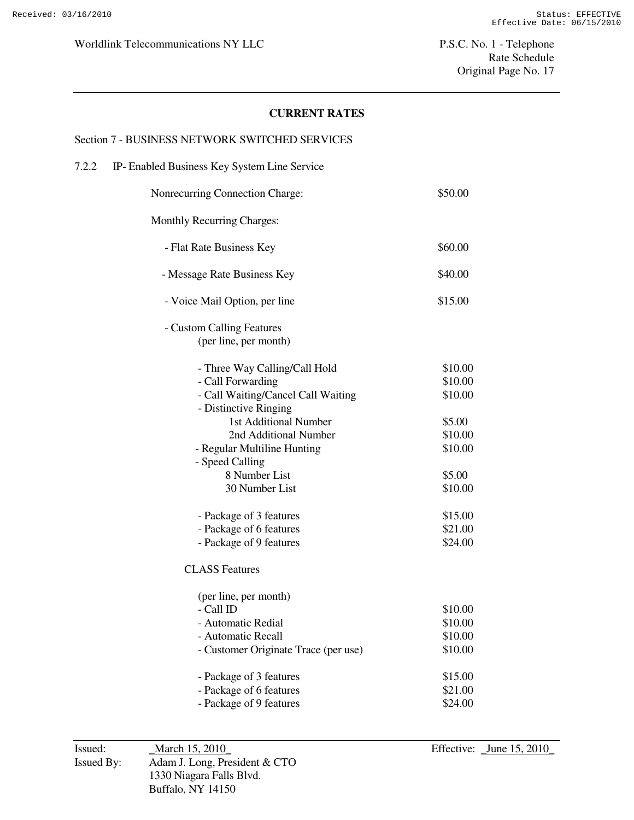## **CURRENT RATES**

#### Section 7 - BUSINESS NETWORK SWITCHED SERVICES

# 7.2.2 IP- Enabled Business Key System Line Service Nonrecurring Connection Charge: \$50.00 Monthly Recurring Charges: - Flat Rate Business Key \$60.00 - Message Rate Business Key  $$40.00$ - Voice Mail Option, per line \$15.00 - Custom Calling Features (per line, per month) - Three Way Calling/Call Hold \$10.00 - Call Forwarding  $$10.00$ - Call Waiting/Cancel Call Waiting  $$10.00$  - Distinctive Ringing 1st Additional Number  $$5.00$ 2nd Additional Number \$10.00 - Regular Multiline Hunting  $$10.00$  - Speed Calling 8 Number List \$5.00 30 Number List \$10.00 - Package of 3 features \$15.00 - Package of 6 features \$21.00 - Package of 9 features \$24.00 CLASS Features (per line, per month)  $-$  Call ID  $$10.00$ - Automatic Redial \$10.00 - Automatic Recall \$10.00 - Customer Originate Trace (per use) \$10.00 - Package of 3 features \$15.00 - Package of 6 features \$21.00 - Package of 9 features \$24.00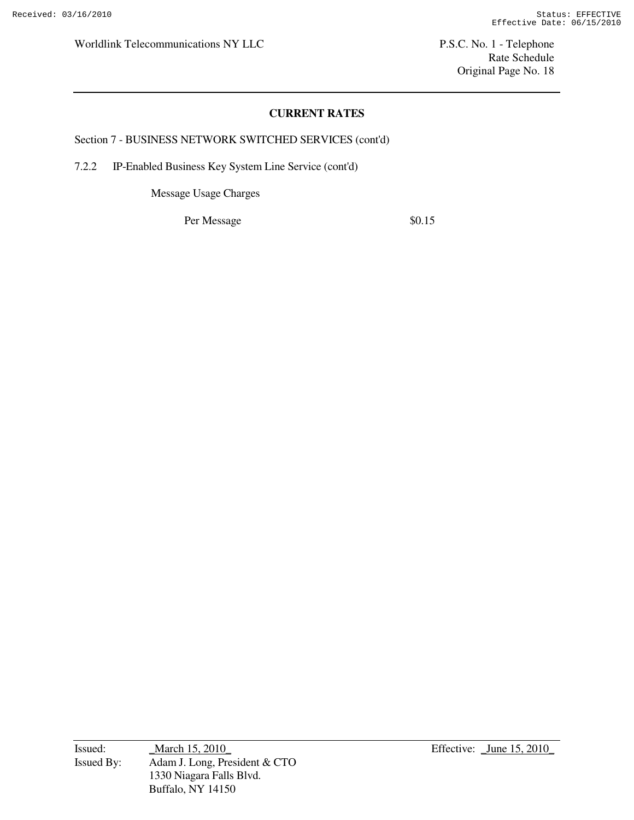Rate Schedule Original Page No. 18

## **CURRENT RATES**

Section 7 - BUSINESS NETWORK SWITCHED SERVICES (cont'd)

7.2.2 IP-Enabled Business Key System Line Service (cont'd)

Message Usage Charges

Per Message  $\$0.15$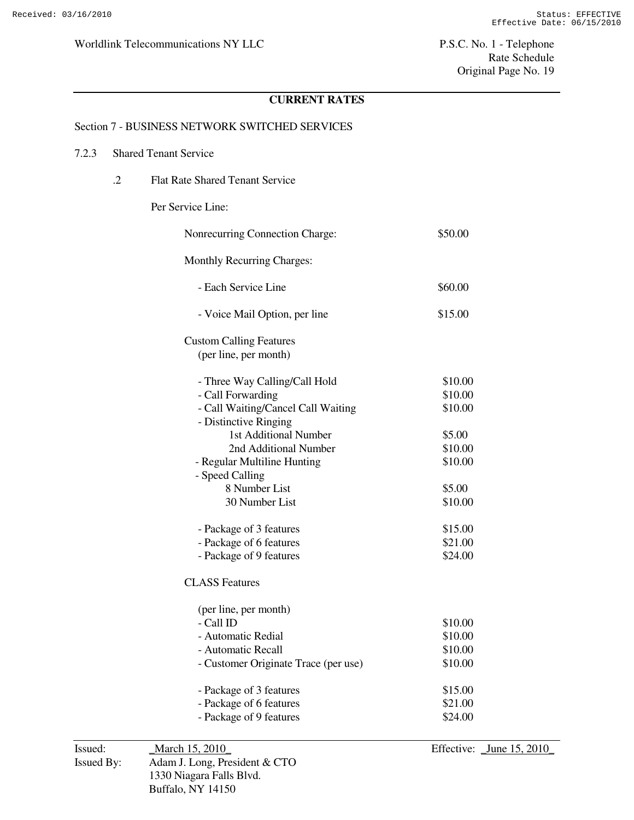## **CURRENT RATES**

#### Section 7 - BUSINESS NETWORK SWITCHED SERVICES

#### 7.2.3 Shared Tenant Service

.2 Flat Rate Shared Tenant Service

# Per Service Line:

| Nonrecurring Connection Charge:      | \$50.00 |
|--------------------------------------|---------|
| <b>Monthly Recurring Charges:</b>    |         |
| - Each Service Line                  | \$60.00 |
| - Voice Mail Option, per line        | \$15.00 |
| <b>Custom Calling Features</b>       |         |
| (per line, per month)                |         |
| - Three Way Calling/Call Hold        | \$10.00 |
| - Call Forwarding                    | \$10.00 |
| - Call Waiting/Cancel Call Waiting   | \$10.00 |
| - Distinctive Ringing                |         |
| 1st Additional Number                | \$5.00  |
| 2nd Additional Number                | \$10.00 |
| - Regular Multiline Hunting          | \$10.00 |
| - Speed Calling                      |         |
| 8 Number List                        | \$5.00  |
| 30 Number List                       | \$10.00 |
| - Package of 3 features              | \$15.00 |
| - Package of 6 features              | \$21.00 |
| - Package of 9 features              | \$24.00 |
| <b>CLASS Features</b>                |         |
| (per line, per month)                |         |
| - Call ID                            | \$10.00 |
| - Automatic Redial                   | \$10.00 |
| - Automatic Recall                   | \$10.00 |
| - Customer Originate Trace (per use) | \$10.00 |
| - Package of 3 features              | \$15.00 |
| - Package of 6 features              | \$21.00 |
| - Package of 9 features              | \$24.00 |
|                                      |         |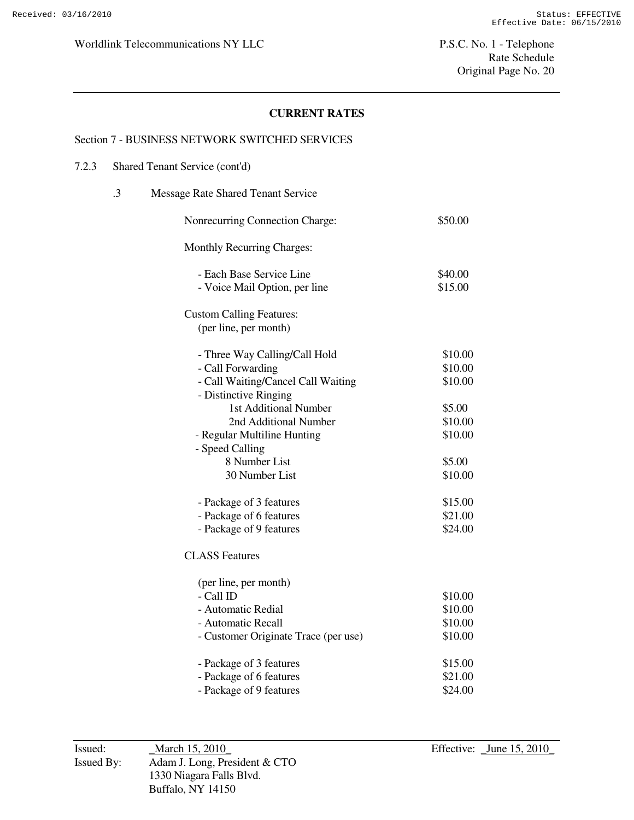# **CURRENT RATES**

#### Section 7 - BUSINESS NETWORK SWITCHED SERVICES

#### 7.2.3 Shared Tenant Service (cont'd)

| .3 | Message Rate Shared Tenant Service   |         |
|----|--------------------------------------|---------|
|    | Nonrecurring Connection Charge:      | \$50.00 |
|    | Monthly Recurring Charges:           |         |
|    | - Each Base Service Line             | \$40.00 |
|    | - Voice Mail Option, per line        | \$15.00 |
|    | <b>Custom Calling Features:</b>      |         |
|    | (per line, per month)                |         |
|    | - Three Way Calling/Call Hold        | \$10.00 |
|    | - Call Forwarding                    | \$10.00 |
|    | - Call Waiting/Cancel Call Waiting   | \$10.00 |
|    | - Distinctive Ringing                |         |
|    | 1st Additional Number                | \$5.00  |
|    | 2nd Additional Number                | \$10.00 |
|    | - Regular Multiline Hunting          | \$10.00 |
|    | - Speed Calling                      |         |
|    | 8 Number List                        | \$5.00  |
|    | 30 Number List                       | \$10.00 |
|    | - Package of 3 features              | \$15.00 |
|    | - Package of 6 features              | \$21.00 |
|    | - Package of 9 features              | \$24.00 |
|    | <b>CLASS Features</b>                |         |
|    | (per line, per month)                |         |
|    | - Call ID                            | \$10.00 |
|    | - Automatic Redial                   | \$10.00 |
|    | - Automatic Recall                   | \$10.00 |
|    | - Customer Originate Trace (per use) | \$10.00 |
|    | - Package of 3 features              | \$15.00 |
|    | - Package of 6 features              | \$21.00 |
|    | - Package of 9 features              | \$24.00 |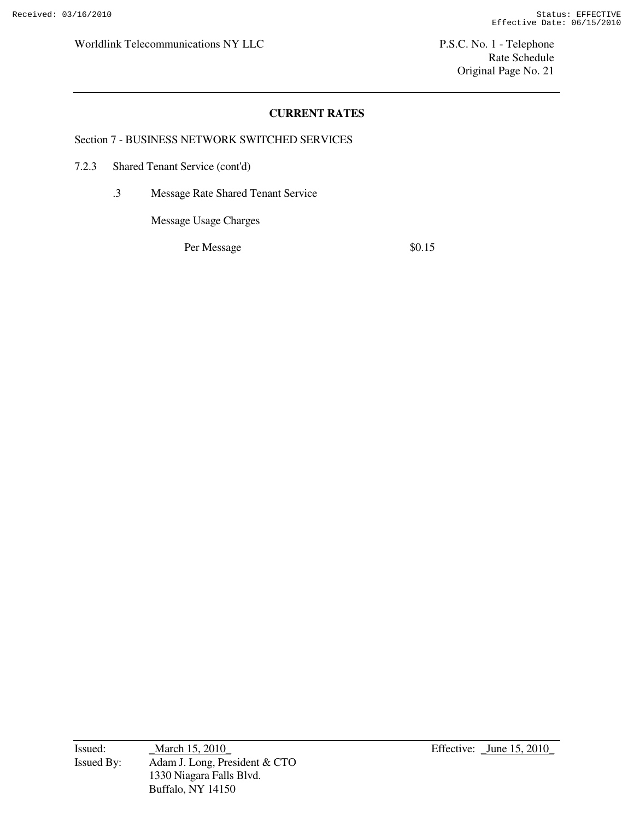# **CURRENT RATES**

Section 7 - BUSINESS NETWORK SWITCHED SERVICES

7.2.3 Shared Tenant Service (cont'd)

.3 Message Rate Shared Tenant Service

Message Usage Charges

Per Message  $\$0.15$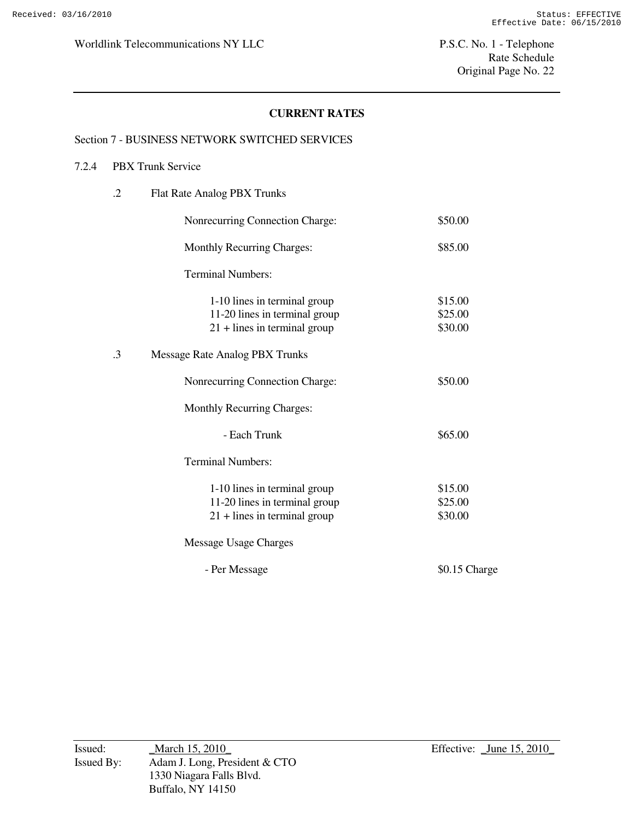# **CURRENT RATES**

#### Section 7 - BUSINESS NETWORK SWITCHED SERVICES

### 7.2.4 PBX Trunk Service

| $\cdot$ .2 | Flat Rate Analog PBX Trunks                                                                     |                               |
|------------|-------------------------------------------------------------------------------------------------|-------------------------------|
|            | Nonrecurring Connection Charge:                                                                 | \$50.00                       |
|            | <b>Monthly Recurring Charges:</b>                                                               | \$85.00                       |
|            | <b>Terminal Numbers:</b>                                                                        |                               |
|            | 1-10 lines in terminal group<br>11-20 lines in terminal group<br>$21 +$ lines in terminal group | \$15.00<br>\$25.00<br>\$30.00 |
| $\cdot$ 3  | Message Rate Analog PBX Trunks                                                                  |                               |
|            | Nonrecurring Connection Charge:                                                                 | \$50.00                       |
|            | Monthly Recurring Charges:                                                                      |                               |
|            | - Each Trunk                                                                                    | \$65.00                       |
|            | <b>Terminal Numbers:</b>                                                                        |                               |
|            | 1-10 lines in terminal group<br>11-20 lines in terminal group<br>$21 +$ lines in terminal group | \$15.00<br>\$25.00<br>\$30.00 |
|            | Message Usage Charges                                                                           |                               |
|            | - Per Message                                                                                   | \$0.15 Charge                 |
|            |                                                                                                 |                               |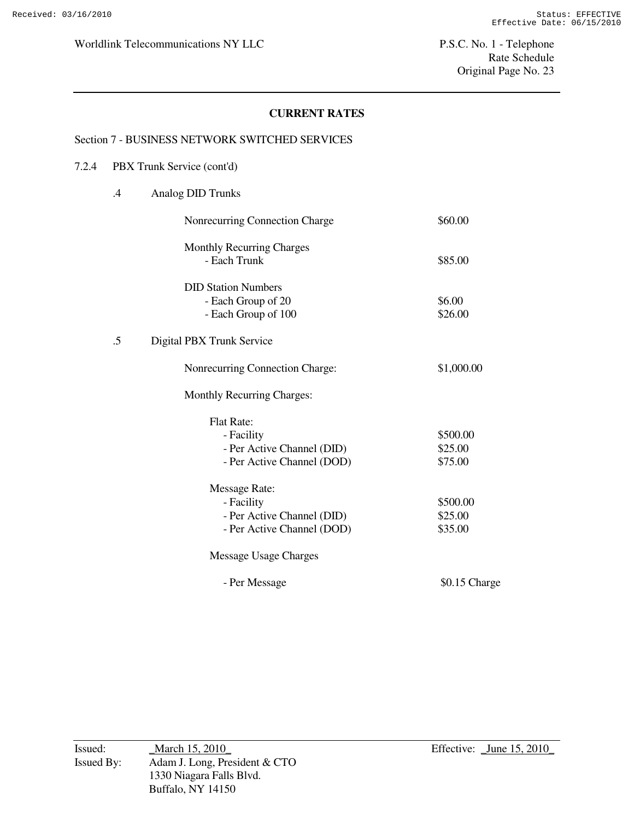# **CURRENT RATES**

#### Section 7 - BUSINESS NETWORK SWITCHED SERVICES

## 7.2.4 PBX Trunk Service (cont'd)

.4 Analog DID Trunks

|        | Nonrecurring Connection Charge    | \$60.00       |
|--------|-----------------------------------|---------------|
|        | <b>Monthly Recurring Charges</b>  |               |
|        | - Each Trunk                      | \$85.00       |
|        | <b>DID Station Numbers</b>        |               |
|        | - Each Group of 20                | \$6.00        |
|        | - Each Group of 100               | \$26.00       |
|        |                                   |               |
| $.5\,$ | Digital PBX Trunk Service         |               |
|        | Nonrecurring Connection Charge:   | \$1,000.00    |
|        | <b>Monthly Recurring Charges:</b> |               |
|        | <b>Flat Rate:</b>                 |               |
|        | - Facility                        | \$500.00      |
|        | - Per Active Channel (DID)        | \$25.00       |
|        | - Per Active Channel (DOD)        | \$75.00       |
|        |                                   |               |
|        | <b>Message Rate:</b>              |               |
|        | - Facility                        | \$500.00      |
|        | - Per Active Channel (DID)        | \$25.00       |
|        | - Per Active Channel (DOD)        | \$35.00       |
|        | Message Usage Charges             |               |
|        | - Per Message                     | \$0.15 Charge |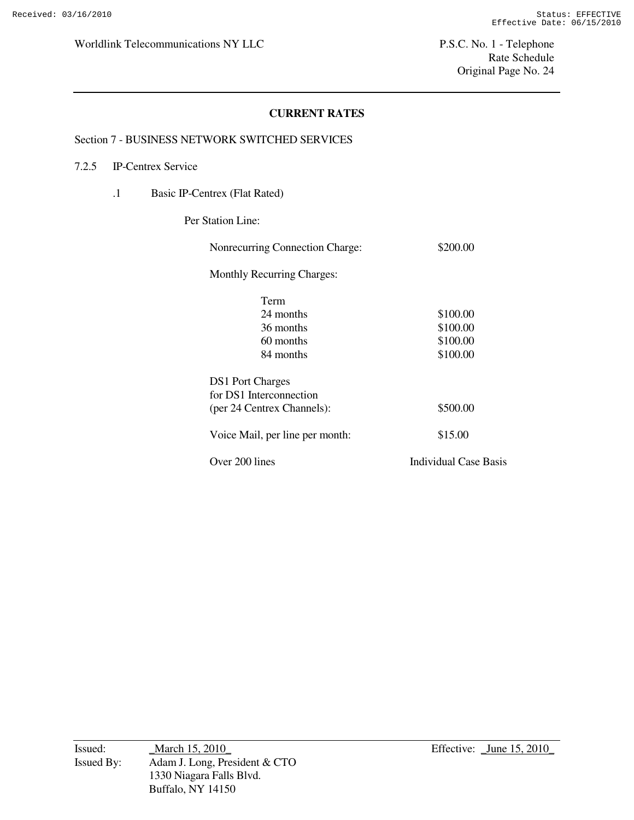# **CURRENT RATES**

#### Section 7 - BUSINESS NETWORK SWITCHED SERVICES

## 7.2.5 IP-Centrex Service

.1 Basic IP-Centrex (Flat Rated)

Per Station Line:

| Nonrecurring Connection Charge:   | \$200.00                     |
|-----------------------------------|------------------------------|
| <b>Monthly Recurring Charges:</b> |                              |
| Term                              |                              |
| 24 months                         | \$100.00                     |
| 36 months                         | \$100.00                     |
| 60 months                         | \$100.00                     |
| 84 months                         | \$100.00                     |
| <b>DS1</b> Port Charges           |                              |
| for DS1 Interconnection           |                              |
| (per 24 Centrex Channels):        | \$500.00                     |
| Voice Mail, per line per month:   | \$15.00                      |
| Over 200 lines                    | <b>Individual Case Basis</b> |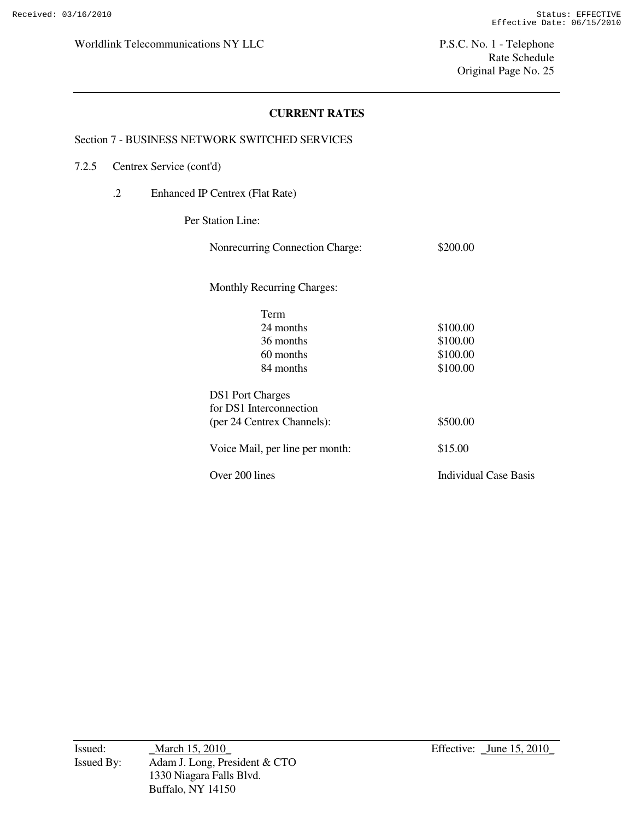# **CURRENT RATES**

#### Section 7 - BUSINESS NETWORK SWITCHED SERVICES

#### 7.2.5 Centrex Service (cont'd)

.2 Enhanced IP Centrex (Flat Rate)

Per Station Line:

| Nonrecurring Connection Charge:   | \$200.00              |
|-----------------------------------|-----------------------|
| <b>Monthly Recurring Charges:</b> |                       |
| Term                              |                       |
| 24 months                         | \$100.00              |
| 36 months                         | \$100.00              |
| 60 months                         | \$100.00              |
| 84 months                         | \$100.00              |
| <b>DS1</b> Port Charges           |                       |
| for DS1 Interconnection           |                       |
| (per 24 Centrex Channels):        | \$500.00              |
| Voice Mail, per line per month:   | \$15.00               |
| Over 200 lines                    | Individual Case Basis |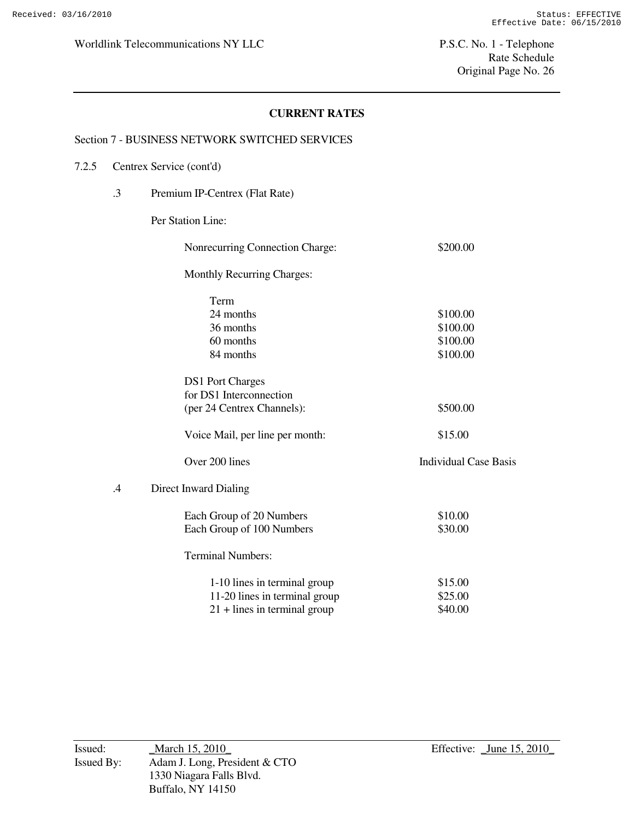## **CURRENT RATES**

#### Section 7 - BUSINESS NETWORK SWITCHED SERVICES

### 7.2.5 Centrex Service (cont'd)

.3 Premium IP-Centrex (Flat Rate)

## Per Station Line:

|         | <b>Nonrecurring Connection Charge:</b> | \$200.00                     |
|---------|----------------------------------------|------------------------------|
|         | <b>Monthly Recurring Charges:</b>      |                              |
|         | Term                                   |                              |
|         | 24 months                              | \$100.00                     |
|         | 36 months                              | \$100.00                     |
|         | 60 months                              | \$100.00                     |
|         | 84 months                              | \$100.00                     |
|         | <b>DS1</b> Port Charges                |                              |
|         | for DS1 Interconnection                |                              |
|         | (per 24 Centrex Channels):             | \$500.00                     |
|         | Voice Mail, per line per month:        | \$15.00                      |
|         | Over 200 lines                         | <b>Individual Case Basis</b> |
| $\cdot$ | Direct Inward Dialing                  |                              |
|         | Each Group of 20 Numbers               | \$10.00                      |
|         | Each Group of 100 Numbers              | \$30.00                      |
|         | <b>Terminal Numbers:</b>               |                              |
|         | 1-10 lines in terminal group           | \$15.00                      |
|         | 11-20 lines in terminal group          | \$25.00                      |
|         | $21 +$ lines in terminal group         | \$40.00                      |